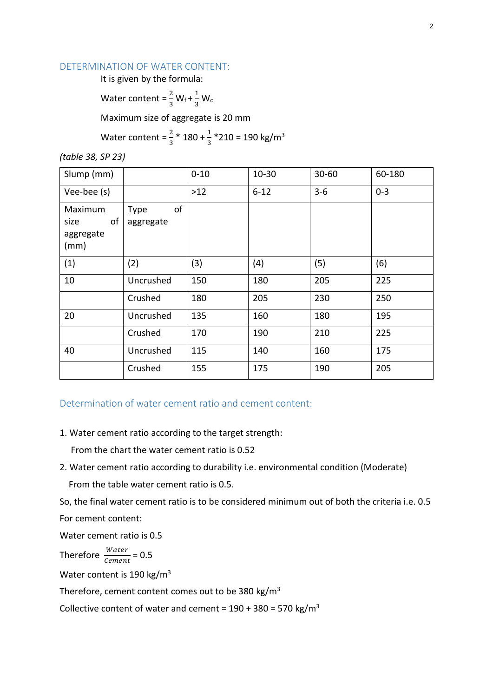#### DETERMINATION OF WATER CONTENT:

It is given by the formula:

Water content =  $\frac{2}{3}$  W<sub>f</sub> +  $\frac{1}{3}$  $rac{1}{3}$  W<sub>c</sub>

Maximum size of aggregate is 20 mm

Water content =  $\frac{2}{3}$  \* 180 +  $\frac{1}{3}$  \*210 = 190 kg/m<sup>3</sup>

*(table 38, SP 23)*

| Slump (mm)                                 |                                | $0 - 10$ | $10 - 30$ | $30 - 60$ | 60-180  |
|--------------------------------------------|--------------------------------|----------|-----------|-----------|---------|
| Vee-bee (s)                                |                                | $>12$    | $6 - 12$  | $3 - 6$   | $0 - 3$ |
| Maximum<br>of<br>size<br>aggregate<br>(mm) | of<br><b>Type</b><br>aggregate |          |           |           |         |
| (1)                                        | (2)                            | (3)      | (4)       | (5)       | (6)     |
| 10                                         | Uncrushed                      | 150      | 180       | 205       | 225     |
|                                            | Crushed                        | 180      | 205       | 230       | 250     |
| 20                                         | Uncrushed                      | 135      | 160       | 180       | 195     |
|                                            | Crushed                        | 170      | 190       | 210       | 225     |
| 40                                         | Uncrushed                      | 115      | 140       | 160       | 175     |
|                                            | Crushed                        | 155      | 175       | 190       | 205     |

# Determination of water cement ratio and cement content:

## 1. Water cement ratio according to the target strength:

From the chart the water cement ratio is 0.52

2. Water cement ratio according to durability i.e. environmental condition (Moderate) From the table water cement ratio is 0.5.

So, the final water cement ratio is to be considered minimum out of both the criteria i.e. 0.5

For cement content:

Water cement ratio is 0.5

Therefore  $\frac{Water}{Cement} = 0.5$ 

Water content is 190 kg/m<sup>3</sup>

Therefore, cement content comes out to be 380 kg/m<sup>3</sup>

Collective content of water and cement =  $190 + 380 = 570$  kg/m<sup>3</sup>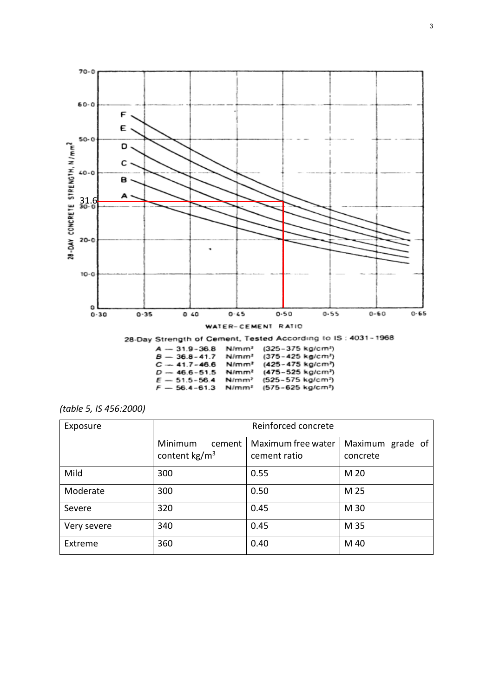

| (table 5, IS 456:2000) |  |
|------------------------|--|
|------------------------|--|

| Exposure    | Reinforced concrete                          |                                    |                              |  |
|-------------|----------------------------------------------|------------------------------------|------------------------------|--|
|             | Minimum<br>cement<br>content $\text{kg/m}^3$ | Maximum free water<br>cement ratio | Maximum grade of<br>concrete |  |
| Mild        | 300                                          | 0.55                               | M 20                         |  |
| Moderate    | 300                                          | 0.50                               | M 25                         |  |
| Severe      | 320                                          | 0.45                               | M 30                         |  |
| Very severe | 340                                          | 0.45                               | M 35                         |  |
| Extreme     | 360                                          | 0.40                               | M 40                         |  |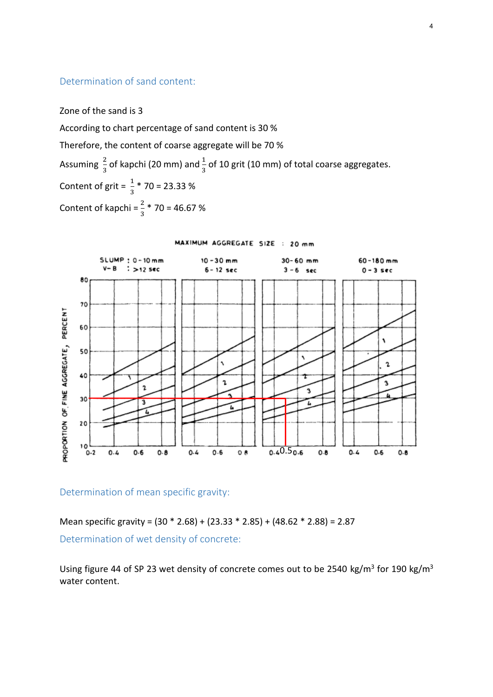# Determination of sand content:

Zone of the sand is 3

According to chart percentage of sand content is 30 % Therefore, the content of coarse aggregate will be 70 % Assuming  $\frac{2}{3}$  of kapchi (20 mm) and  $\frac{1}{3}$  of 10 grit (10 mm) of total coarse aggregates. Content of grit =  $\frac{1}{3}$  \* 70 = 23.33 % Content of kapchi =  $\frac{2}{3}$  \* 70 = 46.67 %



MAXIMUM AGGREGATE SIZE : 20 mm

Determination of mean specific gravity:

Mean specific gravity = (30 \* 2.68) + (23.33 \* 2.85) + (48.62 \* 2.88) = 2.87 Determination of wet density of concrete:

Using figure 44 of SP 23 wet density of concrete comes out to be 2540 kg/m<sup>3</sup> for 190 kg/m<sup>3</sup> water content.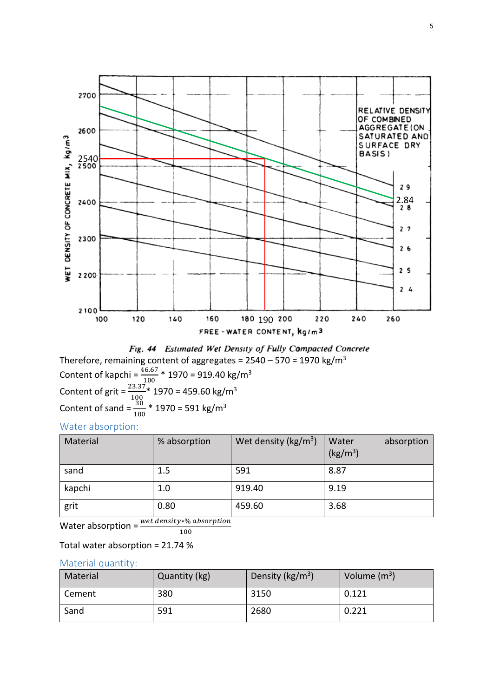



Content of kapchi = 
$$
\frac{46.67}{100}
$$
 \* 1970 = 919.40 kg/m<sup>3</sup>  
Content of grit =  $\frac{23.37}{100}$  \* 1970 = 459.60 kg/m<sup>3</sup>  
Content of sand =  $\frac{30}{100}$  \* 1970 = 591 kg/m<sup>3</sup>

Water absorption:

| Material | % absorption | Wet density ( $\text{kg/m}^3$ ) | Water<br>absorption<br>(kg/m <sup>3</sup> ) |
|----------|--------------|---------------------------------|---------------------------------------------|
| sand     | 1.5          | 591                             | 8.87                                        |
| kapchi   | 1.0          | 919.40                          | 9.19                                        |
| grit     | 0.80         | 459.60                          | 3.68                                        |

Water absorption =  $\frac{wet \text{ density} * \% \text{ absorption}}{wet \text{ density}}$ 100

Total water absorption = 21.74 %

## Material quantity:

| Material | Quantity (kg) | Density ( $\text{kg/m}^3$ ) | Volume $(m^3)$ |
|----------|---------------|-----------------------------|----------------|
| Cement   | 380           | 3150                        | 0.121          |
| Sand     | 591           | 2680                        | 0.221          |